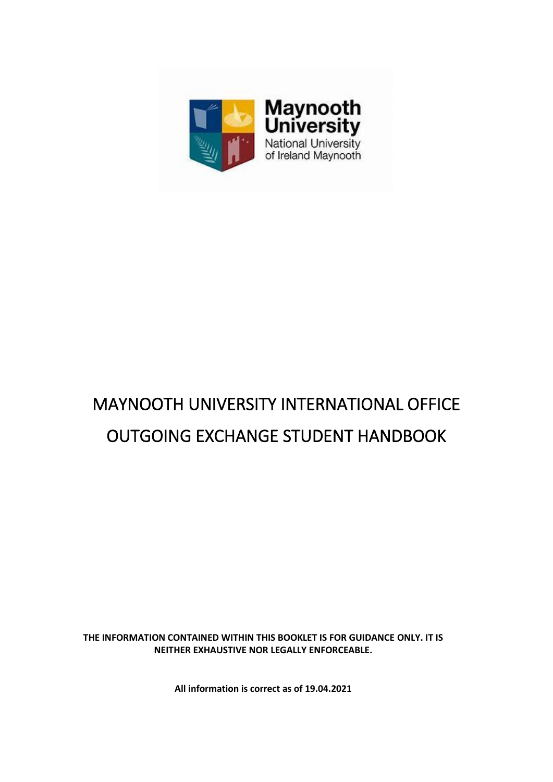

# MAYNOOTH UNIVERSITY INTERNATIONAL OFFICE OUTGOING EXCHANGE STUDENT HANDBOOK

**THE INFORMATION CONTAINED WITHIN THIS BOOKLET IS FOR GUIDANCE ONLY. IT IS NEITHER EXHAUSTIVE NOR LEGALLY ENFORCEABLE.**

**All information is correct as of 19.04.2021**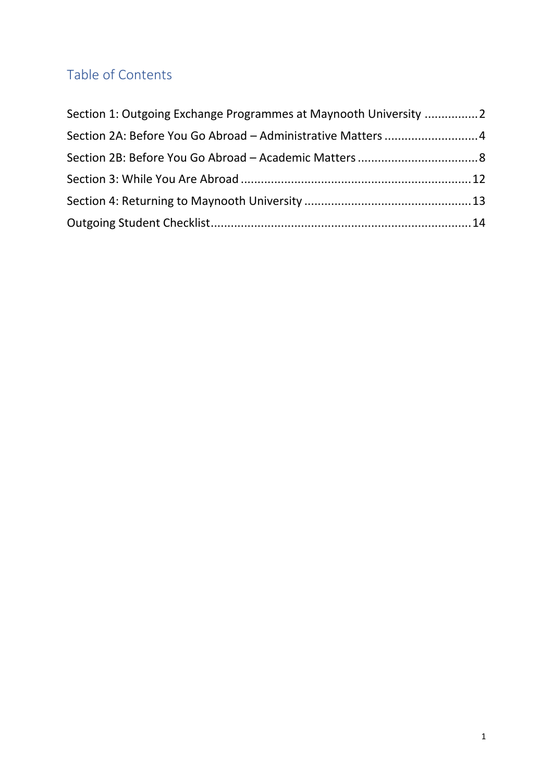# Table of Contents

| Section 1: Outgoing Exchange Programmes at Maynooth University 2 |  |
|------------------------------------------------------------------|--|
| Section 2A: Before You Go Abroad - Administrative Matters 4      |  |
|                                                                  |  |
|                                                                  |  |
|                                                                  |  |
|                                                                  |  |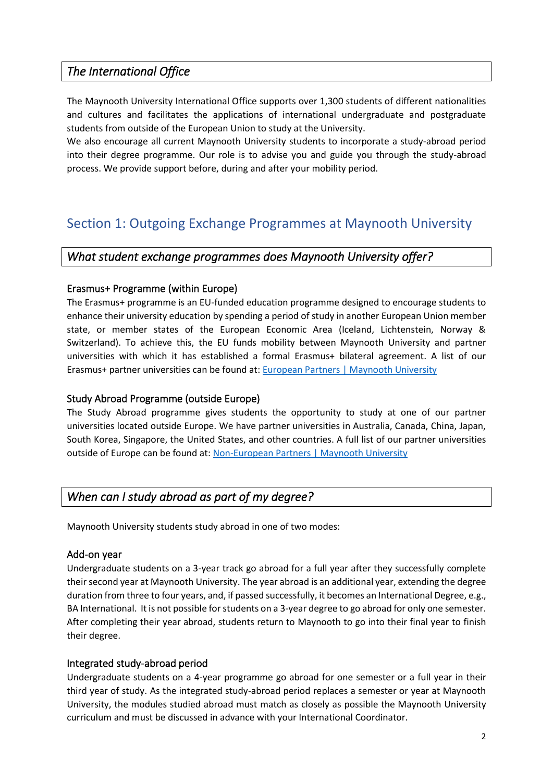## *The International Office*

The Maynooth University International Office supports over 1,300 students of different nationalities and cultures and facilitates the applications of international undergraduate and postgraduate students from outside of the European Union to study at the University.

We also encourage all current Maynooth University students to incorporate a study-abroad period into their degree programme. Our role is to advise you and guide you through the study-abroad process. We provide support before, during and after your mobility period.

# <span id="page-2-0"></span>Section 1: Outgoing Exchange Programmes at Maynooth University

#### *What student exchange programmes does Maynooth University offer?*

#### Erasmus+ Programme (within Europe)

The Erasmus+ programme is an EU-funded education programme designed to encourage students to enhance their university education by spending a period of study in another European Union member state, or member states of the European Economic Area (Iceland, Lichtenstein, Norway & Switzerland). To achieve this, the EU funds mobility between Maynooth University and partner universities with which it has established a formal Erasmus+ bilateral agreement. A list of our Erasmus+ partner universities can be found at: [European Partners | Maynooth University](about:blank)

#### Study Abroad Programme (outside Europe)

The Study Abroad programme gives students the opportunity to study at one of our partner universities located outside Europe. We have partner universities in Australia, Canada, China, Japan, South Korea, Singapore, the United States, and other countries. A full list of our partner universities outside of Europe can be found at: Non-European [Partners | Maynooth University](about:blank)

#### *When can I study abroad as part of my degree?*

Maynooth University students study abroad in one of two modes:

#### Add-on year

Undergraduate students on a 3-year track go abroad for a full year after they successfully complete their second year at Maynooth University. The year abroad is an additional year, extending the degree duration from three to four years, and, if passed successfully, it becomes an International Degree, e.g., BA International. It is not possible for students on a 3-year degree to go abroad for only one semester. After completing their year abroad, students return to Maynooth to go into their final year to finish their degree.

#### Integrated study-abroad period

Undergraduate students on a 4-year programme go abroad for one semester or a full year in their third year of study. As the integrated study-abroad period replaces a semester or year at Maynooth University, the modules studied abroad must match as closely as possible the Maynooth University curriculum and must be discussed in advance with your International Coordinator.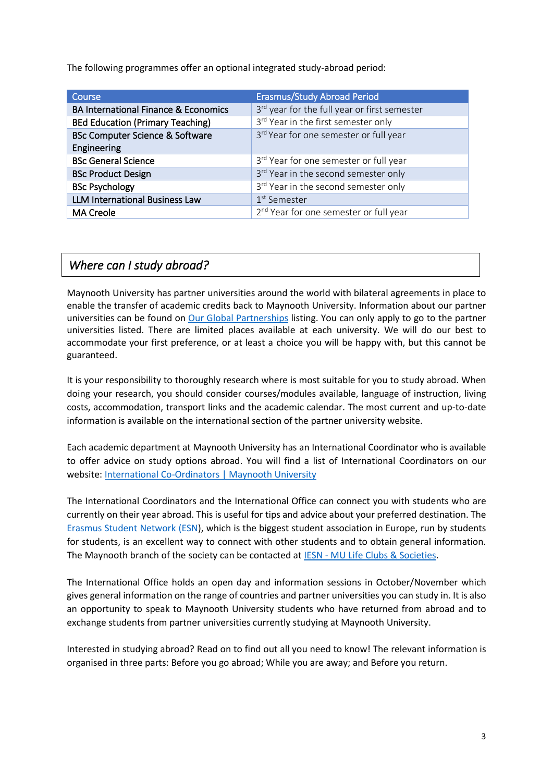The following programmes offer an optional integrated study-abroad period:

| Course                                          | <b>Erasmus/Study Abroad Period</b>                 |
|-------------------------------------------------|----------------------------------------------------|
| <b>BA International Finance &amp; Economics</b> | 3rd year for the full year or first semester       |
| <b>BEd Education (Primary Teaching)</b>         | 3rd Year in the first semester only                |
| <b>BSc Computer Science &amp; Software</b>      | 3rd Year for one semester or full year             |
| Engineering                                     |                                                    |
| <b>BSc General Science</b>                      | 3rd Year for one semester or full year             |
| <b>BSc Product Design</b>                       | 3rd Year in the second semester only               |
| <b>BSc Psychology</b>                           | 3rd Year in the second semester only               |
| <b>LLM International Business Law</b>           | 1 <sup>st</sup> Semester                           |
| <b>MA Creole</b>                                | 2 <sup>nd</sup> Year for one semester or full year |

## *Where can I study abroad?*

Maynooth University has partner universities around the world with bilateral agreements in place to enable the transfer of academic credits back to Maynooth University. Information about our partner universities can be found on [Our Global Partnerships](about:blank) listing. You can only apply to go to the partner universities listed. There are limited places available at each university. We will do our best to accommodate your first preference, or at least a choice you will be happy with, but this cannot be guaranteed.

It is your responsibility to thoroughly research where is most suitable for you to study abroad. When doing your research, you should consider courses/modules available, language of instruction, living costs, accommodation, transport links and the academic calendar. The most current and up-to-date information is available on the international section of the partner university website.

Each academic department at Maynooth University has an International Coordinator who is available to offer advice on study options abroad. You will find a list of International Coordinators on our website[: International Co-Ordinators | Maynooth University](about:blank)

The International Coordinators and the International Office can connect you with students who are currently on their year abroad. This is useful for tips and advice about your preferred destination. The [Erasmus Student Network](about:blank) (ESN), which is the biggest student association in Europe, run by students for students, is an excellent way to connect with other students and to obtain general information. The Maynooth branch of the society can be contacted at IESN - [MU Life Clubs & Societies.](about:blank)

The International Office holds an open day and information sessions in October/November which gives general information on the range of countries and partner universities you can study in. It is also an opportunity to speak to Maynooth University students who have returned from abroad and to exchange students from partner universities currently studying at Maynooth University.

Interested in studying abroad? Read on to find out all you need to know! The relevant information is organised in three parts: Before you go abroad; While you are away; and Before you return.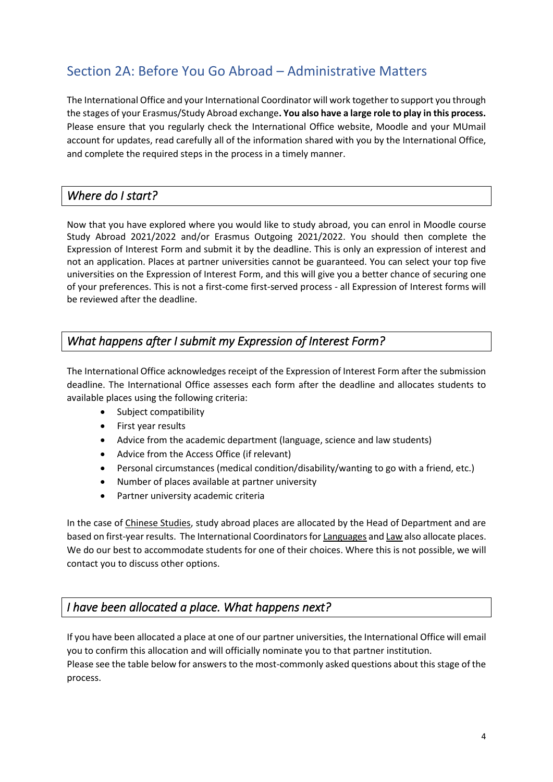# <span id="page-4-0"></span>Section 2A: Before You Go Abroad – Administrative Matters

The International Office and your International Coordinator will work together to support you through the stages of your Erasmus/Study Abroad exchange**. You also have a large role to play in this process.**  Please ensure that you regularly check the International Office website, Moodle and your MUmail account for updates, read carefully all of the information shared with you by the International Office, and complete the required steps in the process in a timely manner.

## *Where do I start?*

Now that you have explored where you would like to study abroad, you can enrol in Moodle course Study Abroad 2021/2022 and/or Erasmus Outgoing 2021/2022. You should then complete the Expression of Interest Form and submit it by the deadline. This is only an expression of interest and not an application. Places at partner universities cannot be guaranteed. You can select your top five universities on the Expression of Interest Form, and this will give you a better chance of securing one of your preferences. This is not a first-come first-served process - all Expression of Interest forms will be reviewed after the deadline.

## *What happens after I submit my Expression of Interest Form?*

The International Office acknowledges receipt of the Expression of Interest Form after the submission deadline. The International Office assesses each form after the deadline and allocates students to available places using the following criteria:

- Subject compatibility
- First year results
- Advice from the academic department (language, science and law students)
- Advice from the Access Office (if relevant)
- Personal circumstances (medical condition/disability/wanting to go with a friend, etc.)
- Number of places available at partner university
- Partner university academic criteria

In the case of Chinese Studies, study abroad places are allocated by the Head of Department and are based on first-year results. The International Coordinators for Languages and Law also allocate places. We do our best to accommodate students for one of their choices. Where this is not possible, we will contact you to discuss other options.

## *I have been allocated a place. What happens next?*

If you have been allocated a place at one of our partner universities, the International Office will email you to confirm this allocation and will officially nominate you to that partner institution. Please see the table below for answers to the most-commonly asked questions about this stage of the process.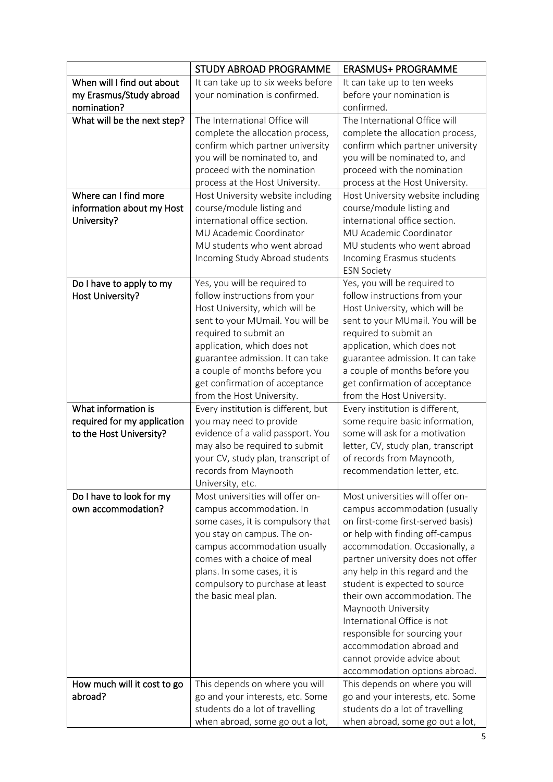|                             | <b>STUDY ABROAD PROGRAMME</b>                                    | <b>ERASMUS+ PROGRAMME</b>                                    |
|-----------------------------|------------------------------------------------------------------|--------------------------------------------------------------|
| When will I find out about  | It can take up to six weeks before                               | It can take up to ten weeks                                  |
| my Erasmus/Study abroad     | your nomination is confirmed.                                    | before your nomination is                                    |
| nomination?                 |                                                                  | confirmed.                                                   |
| What will be the next step? | The International Office will                                    | The International Office will                                |
|                             | complete the allocation process,                                 | complete the allocation process,                             |
|                             | confirm which partner university                                 | confirm which partner university                             |
|                             | you will be nominated to, and                                    | you will be nominated to, and                                |
|                             | proceed with the nomination                                      | proceed with the nomination                                  |
|                             | process at the Host University.                                  | process at the Host University.                              |
| Where can I find more       | Host University website including                                | Host University website including                            |
| information about my Host   | course/module listing and                                        | course/module listing and                                    |
| University?                 | international office section.                                    | international office section.                                |
|                             | MU Academic Coordinator                                          | MU Academic Coordinator                                      |
|                             | MU students who went abroad                                      | MU students who went abroad                                  |
|                             | Incoming Study Abroad students                                   | Incoming Erasmus students                                    |
|                             |                                                                  | <b>ESN Society</b>                                           |
| Do I have to apply to my    | Yes, you will be required to                                     | Yes, you will be required to                                 |
| Host University?            | follow instructions from your                                    | follow instructions from your                                |
|                             | Host University, which will be                                   | Host University, which will be                               |
|                             | sent to your MUmail. You will be                                 | sent to your MUmail. You will be                             |
|                             | required to submit an                                            | required to submit an                                        |
|                             | application, which does not                                      | application, which does not                                  |
|                             | guarantee admission. It can take                                 | guarantee admission. It can take                             |
|                             | a couple of months before you                                    | a couple of months before you                                |
|                             | get confirmation of acceptance                                   | get confirmation of acceptance                               |
| What information is         | from the Host University.<br>Every institution is different, but | from the Host University.<br>Every institution is different, |
| required for my application | you may need to provide                                          | some require basic information,                              |
| to the Host University?     | evidence of a valid passport. You                                | some will ask for a motivation                               |
|                             | may also be required to submit                                   | letter, CV, study plan, transcript                           |
|                             | your CV, study plan, transcript of                               | of records from Maynooth,                                    |
|                             | records from Maynooth                                            | recommendation letter, etc.                                  |
|                             | University, etc.                                                 |                                                              |
| Do I have to look for my    | Most universities will offer on-                                 | Most universities will offer on-                             |
| own accommodation?          | campus accommodation. In                                         | campus accommodation (usually                                |
|                             | some cases, it is compulsory that                                | on first-come first-served basis)                            |
|                             | you stay on campus. The on-                                      | or help with finding off-campus                              |
|                             | campus accommodation usually                                     | accommodation. Occasionally, a                               |
|                             | comes with a choice of meal                                      | partner university does not offer                            |
|                             | plans. In some cases, it is                                      | any help in this regard and the                              |
|                             | compulsory to purchase at least                                  | student is expected to source                                |
|                             | the basic meal plan.                                             | their own accommodation. The                                 |
|                             |                                                                  | Maynooth University                                          |
|                             |                                                                  | International Office is not                                  |
|                             |                                                                  | responsible for sourcing your                                |
|                             |                                                                  | accommodation abroad and                                     |
|                             |                                                                  | cannot provide advice about                                  |
|                             |                                                                  | accommodation options abroad.                                |
| How much will it cost to go | This depends on where you will                                   | This depends on where you will                               |
| abroad?                     | go and your interests, etc. Some                                 | go and your interests, etc. Some                             |
|                             | students do a lot of travelling                                  | students do a lot of travelling                              |
|                             | when abroad, some go out a lot,                                  | when abroad, some go out a lot,                              |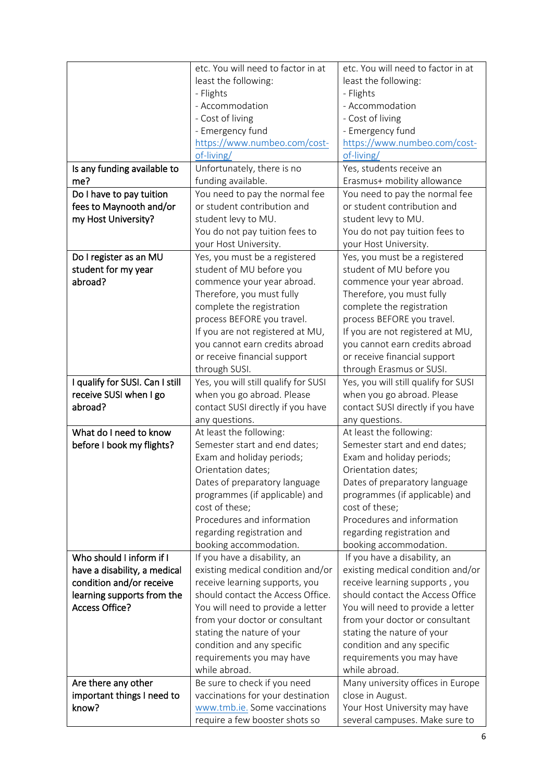|                                 | etc. You will need to factor in at   | etc. You will need to factor in at   |
|---------------------------------|--------------------------------------|--------------------------------------|
|                                 | least the following:                 | least the following:                 |
|                                 | - Flights                            | - Flights                            |
|                                 | - Accommodation                      | - Accommodation                      |
|                                 | - Cost of living                     | - Cost of living                     |
|                                 | - Emergency fund                     | - Emergency fund                     |
|                                 | https://www.numbeo.com/cost-         | https://www.numbeo.com/cost-         |
|                                 | of-living/                           | of-living/                           |
| Is any funding available to     | Unfortunately, there is no           | Yes, students receive an             |
| me?                             | funding available.                   | Erasmus+ mobility allowance          |
| Do I have to pay tuition        | You need to pay the normal fee       | You need to pay the normal fee       |
| fees to Maynooth and/or         | or student contribution and          | or student contribution and          |
| my Host University?             | student levy to MU.                  | student levy to MU.                  |
|                                 |                                      |                                      |
|                                 | You do not pay tuition fees to       | You do not pay tuition fees to       |
|                                 | your Host University.                | your Host University.                |
| Do I register as an MU          | Yes, you must be a registered        | Yes, you must be a registered        |
| student for my year             | student of MU before you             | student of MU before you             |
| abroad?                         | commence your year abroad.           | commence your year abroad.           |
|                                 | Therefore, you must fully            | Therefore, you must fully            |
|                                 | complete the registration            | complete the registration            |
|                                 | process BEFORE you travel.           | process BEFORE you travel.           |
|                                 | If you are not registered at MU,     | If you are not registered at MU,     |
|                                 | you cannot earn credits abroad       | you cannot earn credits abroad       |
|                                 | or receive financial support         | or receive financial support         |
|                                 | through SUSI.                        | through Erasmus or SUSI.             |
| I qualify for SUSI. Can I still | Yes, you will still qualify for SUSI | Yes, you will still qualify for SUSI |
| receive SUSI when I go          | when you go abroad. Please           | when you go abroad. Please           |
| abroad?                         | contact SUSI directly if you have    | contact SUSI directly if you have    |
|                                 | any questions.                       | any questions.                       |
| What do I need to know          | At least the following:              | At least the following:              |
| before I book my flights?       | Semester start and end dates;        | Semester start and end dates;        |
|                                 | Exam and holiday periods;            | Exam and holiday periods;            |
|                                 | Orientation dates;                   | Orientation dates;                   |
|                                 | Dates of preparatory language        | Dates of preparatory language        |
|                                 | programmes (if applicable) and       | programmes (if applicable) and       |
|                                 | cost of these;                       | cost of these;                       |
|                                 | Procedures and information           | Procedures and information           |
|                                 | regarding registration and           | regarding registration and           |
|                                 | booking accommodation.               | booking accommodation.               |
| Who should I inform if I        | If you have a disability, an         | If you have a disability, an         |
| have a disability, a medical    | existing medical condition and/or    | existing medical condition and/or    |
| condition and/or receive        | receive learning supports, you       | receive learning supports, you       |
| learning supports from the      | should contact the Access Office.    | should contact the Access Office     |
| <b>Access Office?</b>           | You will need to provide a letter    | You will need to provide a letter    |
|                                 | from your doctor or consultant       | from your doctor or consultant       |
|                                 | stating the nature of your           | stating the nature of your           |
|                                 | condition and any specific           | condition and any specific           |
|                                 | requirements you may have            | requirements you may have            |
|                                 | while abroad.                        | while abroad.                        |
| Are there any other             | Be sure to check if you need         | Many university offices in Europe    |
| important things I need to      | vaccinations for your destination    | close in August.                     |
| know?                           | www.tmb.ie. Some vaccinations        | Your Host University may have        |
|                                 | require a few booster shots so       | several campuses. Make sure to       |
|                                 |                                      |                                      |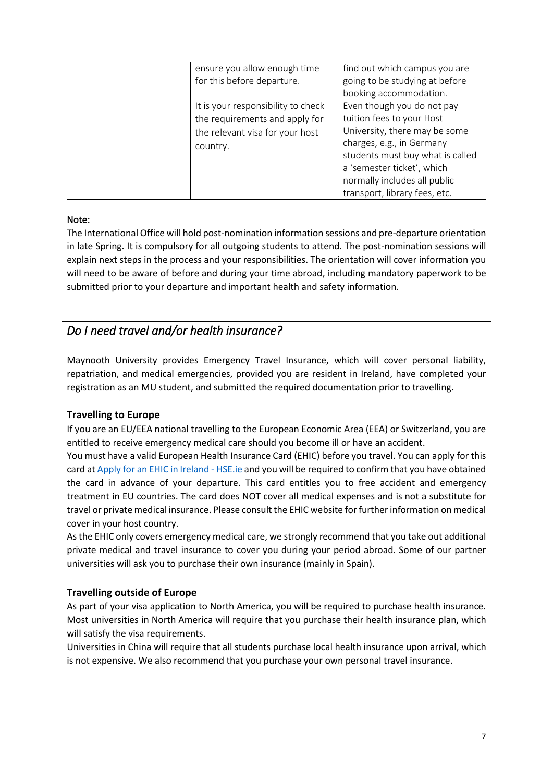| ensure you allow enough time<br>for this before departure.<br>It is your responsibility to check<br>the requirements and apply for<br>the relevant visa for your host<br>country. | find out which campus you are<br>going to be studying at before<br>booking accommodation.<br>Even though you do not pay<br>tuition fees to your Host<br>University, there may be some<br>charges, e.g., in Germany<br>students must buy what is called<br>a 'semester ticket', which<br>normally includes all public |
|-----------------------------------------------------------------------------------------------------------------------------------------------------------------------------------|----------------------------------------------------------------------------------------------------------------------------------------------------------------------------------------------------------------------------------------------------------------------------------------------------------------------|
|                                                                                                                                                                                   | transport, library fees, etc.                                                                                                                                                                                                                                                                                        |

#### Note:

The International Office will hold post-nomination information sessions and pre-departure orientation in late Spring. It is compulsory for all outgoing students to attend. The post-nomination sessions will explain next steps in the process and your responsibilities. The orientation will cover information you will need to be aware of before and during your time abroad, including mandatory paperwork to be submitted prior to your departure and important health and safety information.

## *Do I need travel and/or health insurance?*

Maynooth University provides Emergency Travel Insurance, which will cover personal liability, repatriation, and medical emergencies, provided you are resident in Ireland, have completed your registration as an MU student, and submitted the required documentation prior to travelling.

#### **Travelling to Europe**

If you are an EU/EEA national travelling to the European Economic Area (EEA) or Switzerland, you are entitled to receive emergency medical care should you become ill or have an accident.

You must have a valid European Health Insurance Card (EHIC) before you travel. You can apply for this card a[t Apply for an EHIC in Ireland -](https://www2.hse.ie/services/ehic/ehic.html) HSE.ie and you will be required to confirm that you have obtained the card in advance of your departure. This card entitles you to free accident and emergency treatment in EU countries. The card does NOT cover all medical expenses and is not a substitute for travel or private medical insurance. Please consult the EHIC website for further information on medical cover in your host country.

As the EHIC only covers emergency medical care, we strongly recommend that you take out additional private medical and travel insurance to cover you during your period abroad. Some of our partner universities will ask you to purchase their own insurance (mainly in Spain).

#### **Travelling outside of Europe**

As part of your visa application to North America, you will be required to purchase health insurance. Most universities in North America will require that you purchase their health insurance plan, which will satisfy the visa requirements.

Universities in China will require that all students purchase local health insurance upon arrival, which is not expensive. We also recommend that you purchase your own personal travel insurance.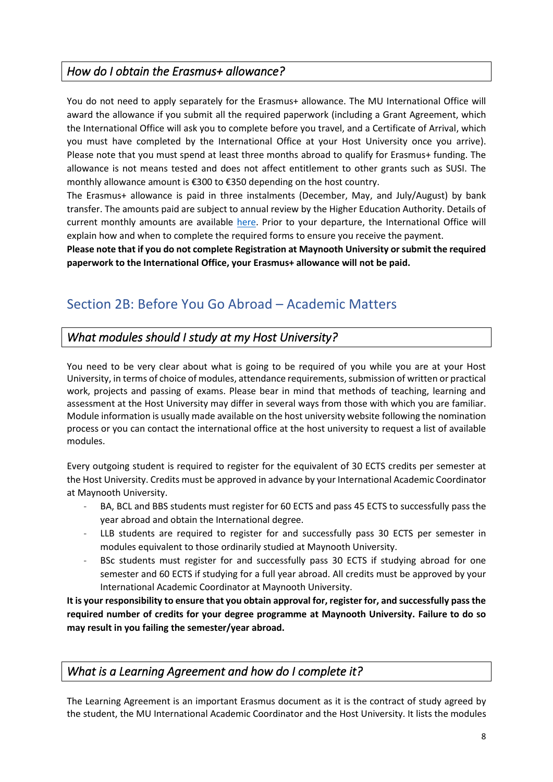## *How do I obtain the Erasmus+ allowance?*

You do not need to apply separately for the Erasmus+ allowance. The MU International Office will award the allowance if you submit all the required paperwork (including a Grant Agreement, which the International Office will ask you to complete before you travel, and a Certificate of Arrival, which you must have completed by the International Office at your Host University once you arrive). Please note that you must spend at least three months abroad to qualify for Erasmus+ funding. The allowance is not means tested and does not affect entitlement to other grants such as SUSI. The monthly allowance amount is €300 to €350 depending on the host country.

The Erasmus+ allowance is paid in three instalments (December, May, and July/August) by bank transfer. The amounts paid are subject to annual review by the Higher Education Authority. Details of current monthly amounts are available here. Prior to your departure, the International Office will explain how and when to complete the required forms to ensure you receive the payment.

**Please note that if you do not complete Registration at Maynooth University or submit the required paperwork to the International Office, your Erasmus+ allowance will not be paid.** 

# <span id="page-8-0"></span>Section 2B: Before You Go Abroad – Academic Matters

## *What modules should I study at my Host University?*

You need to be very clear about what is going to be required of you while you are at your Host University, in terms of choice of modules, attendance requirements, submission of written or practical work, projects and passing of exams. Please bear in mind that methods of teaching, learning and assessment at the Host University may differ in several ways from those with which you are familiar. Module information is usually made available on the host university website following the nomination process or you can contact the international office at the host university to request a list of available modules.

Every outgoing student is required to register for the equivalent of 30 ECTS credits per semester at the Host University. Credits must be approved in advance by your International Academic Coordinator at Maynooth University.

- BA, BCL and BBS students must register for 60 ECTS and pass 45 ECTS to successfully pass the year abroad and obtain the International degree.
- LLB students are required to register for and successfully pass 30 ECTS per semester in modules equivalent to those ordinarily studied at Maynooth University.
- BSc students must register for and successfully pass 30 ECTS if studying abroad for one semester and 60 ECTS if studying for a full year abroad. All credits must be approved by your International Academic Coordinator at Maynooth University.

**It is your responsibility to ensure that you obtain approval for, register for, and successfully pass the required number of credits for your degree programme at Maynooth University. Failure to do so may result in you failing the semester/year abroad.** 

*What is a Learning Agreement and how do I complete it?* 

The Learning Agreement is an important Erasmus document as it is the contract of study agreed by the student, the MU International Academic Coordinator and the Host University. It lists the modules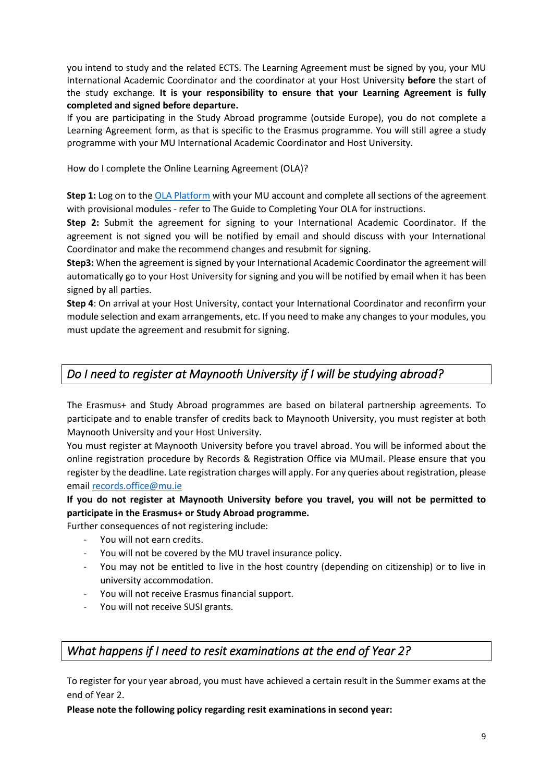you intend to study and the related ECTS. The Learning Agreement must be signed by you, your MU International Academic Coordinator and the coordinator at your Host University **before** the start of the study exchange. **It is your responsibility to ensure that your Learning Agreement is fully completed and signed before departure.**

If you are participating in the Study Abroad programme (outside Europe), you do not complete a Learning Agreement form, as that is specific to the Erasmus programme. You will still agree a study programme with your MU International Academic Coordinator and Host University.

How do I complete the Online Learning Agreement (OLA)?

**Step 1:** Log on to th[e OLA Platform](https://learning-agreement.eu/) with your MU account and complete all sections of the agreement with provisional modules - refer to The Guide to Completing Your OLA for instructions.

**Step 2:** Submit the agreement for signing to your International Academic Coordinator. If the agreement is not signed you will be notified by email and should discuss with your International Coordinator and make the recommend changes and resubmit for signing.

**Step3:** When the agreement is signed by your International Academic Coordinator the agreement will automatically go to your Host University for signing and you will be notified by email when it has been signed by all parties.

**Step 4**: On arrival at your Host University, contact your International Coordinator and reconfirm your module selection and exam arrangements, etc. If you need to make any changes to your modules, you must update the agreement and resubmit for signing.

## *Do I need to register at Maynooth University if I will be studying abroad?*

The Erasmus+ and Study Abroad programmes are based on bilateral partnership agreements. To participate and to enable transfer of credits back to Maynooth University, you must register at both Maynooth University and your Host University.

You must register at Maynooth University before you travel abroad. You will be informed about the online registration procedure by Records & Registration Office via MUmail. Please ensure that you register by the deadline. Late registration charges will apply. For any queries about registration, please email records.office@mu.ie

**If you do not register at Maynooth University before you travel, you will not be permitted to participate in the Erasmus+ or Study Abroad programme.** 

Further consequences of not registering include:

- You will not earn credits.
- You will not be covered by the MU travel insurance policy.
- You may not be entitled to live in the host country (depending on citizenship) or to live in university accommodation.
- You will not receive Erasmus financial support.
- You will not receive SUSI grants.

## *What happens if I need to resit examinations at the end of Year 2?*

To register for your year abroad, you must have achieved a certain result in the Summer exams at the end of Year 2.

**Please note the following policy regarding resit examinations in second year:**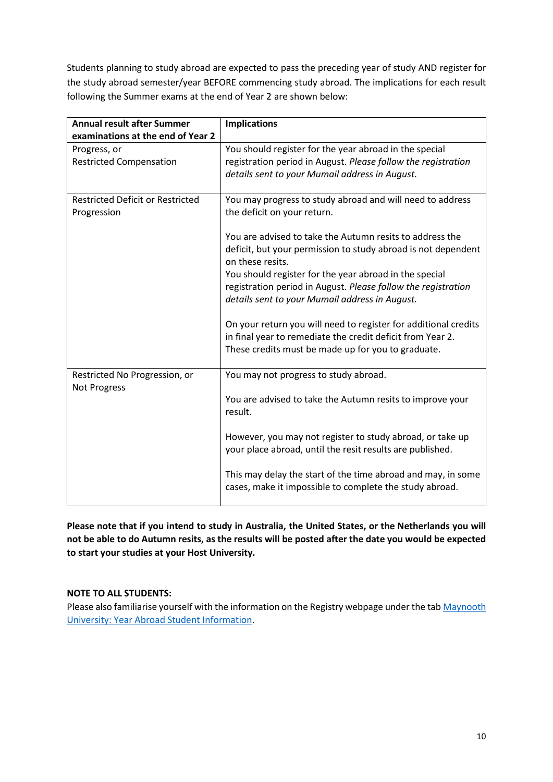Students planning to study abroad are expected to pass the preceding year of study AND register for the study abroad semester/year BEFORE commencing study abroad. The implications for each result following the Summer exams at the end of Year 2 are shown below:

| <b>Annual result after Summer</b><br>examinations at the end of Year 2 | <b>Implications</b>                                             |
|------------------------------------------------------------------------|-----------------------------------------------------------------|
| Progress, or                                                           | You should register for the year abroad in the special          |
| <b>Restricted Compensation</b>                                         | registration period in August. Please follow the registration   |
|                                                                        | details sent to your Mumail address in August.                  |
|                                                                        |                                                                 |
| <b>Restricted Deficit or Restricted</b>                                | You may progress to study abroad and will need to address       |
| Progression                                                            | the deficit on your return.                                     |
|                                                                        | You are advised to take the Autumn resits to address the        |
|                                                                        | deficit, but your permission to study abroad is not dependent   |
|                                                                        | on these resits.                                                |
|                                                                        | You should register for the year abroad in the special          |
|                                                                        | registration period in August. Please follow the registration   |
|                                                                        | details sent to your Mumail address in August.                  |
|                                                                        |                                                                 |
|                                                                        | On your return you will need to register for additional credits |
|                                                                        | in final year to remediate the credit deficit from Year 2.      |
|                                                                        | These credits must be made up for you to graduate.              |
|                                                                        |                                                                 |
| Restricted No Progression, or<br>Not Progress                          | You may not progress to study abroad.                           |
|                                                                        | You are advised to take the Autumn resits to improve your       |
|                                                                        | result.                                                         |
|                                                                        |                                                                 |
|                                                                        | However, you may not register to study abroad, or take up       |
|                                                                        | your place abroad, until the resit results are published.       |
|                                                                        | This may delay the start of the time abroad and may, in some    |
|                                                                        | cases, make it impossible to complete the study abroad.         |
|                                                                        |                                                                 |

**Please note that if you intend to study in Australia, the United States, or the Netherlands you will not be able to do Autumn resits, as the results will be posted after the date you would be expected to start your studies at your Host University.** 

#### **NOTE TO ALL STUDENTS:**

Please also familiarise yourself with the information on the Registry webpage under the tab [Maynooth](https://www.maynoothuniversity.ie/registry/registry-policy-office/third-year-students-2020-2021)  [University: Year Abroad Student Information.](https://www.maynoothuniversity.ie/registry/registry-policy-office/third-year-students-2020-2021)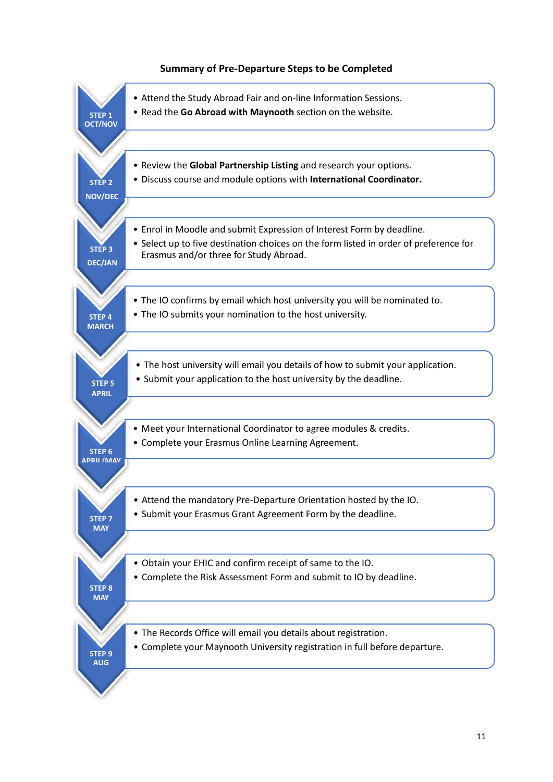#### **Summary of Pre-Departure Steps to be Completed**

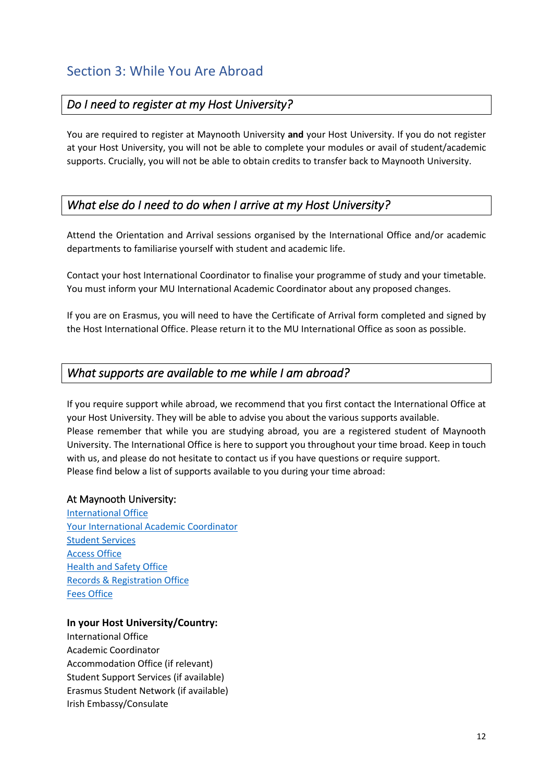## <span id="page-12-0"></span>*Do I need to register at my Host University?*

You are required to register at Maynooth University **and** your Host University. If you do not register at your Host University, you will not be able to complete your modules or avail of student/academic supports. Crucially, you will not be able to obtain credits to transfer back to Maynooth University.

## *What else do I need to do when I arrive at my Host University?*

Attend the Orientation and Arrival sessions organised by the International Office and/or academic departments to familiarise yourself with student and academic life.

Contact your host International Coordinator to finalise your programme of study and your timetable. You must inform your MU International Academic Coordinator about any proposed changes.

If you are on Erasmus, you will need to have the Certificate of Arrival form completed and signed by the Host International Office. Please return it to the MU International Office as soon as possible.

#### *What supports are available to me while I am abroad?*

If you require support while abroad, we recommend that you first contact the International Office at your Host University. They will be able to advise you about the various supports available. Please remember that while you are studying abroad, you are a registered student of Maynooth University. The International Office is here to support you throughout your time broad. Keep in touch with us, and please do not hesitate to contact us if you have questions or require support. Please find below a list of supports available to you during your time abroad:

#### At Maynooth University:

[International Office](about:blank) [Your International Academic Coordinator](about:blank) [Student Services](about:blank) [Access Office](about:blank) [Health and Safety Office](about:blank) [Records & Registration](about:blank) Office [Fees Office](about:blank)

#### **In your Host University/Country:**

International Office Academic Coordinator Accommodation Office (if relevant) Student Support Services (if available) Erasmus Student Network (if available) Irish Embassy/Consulate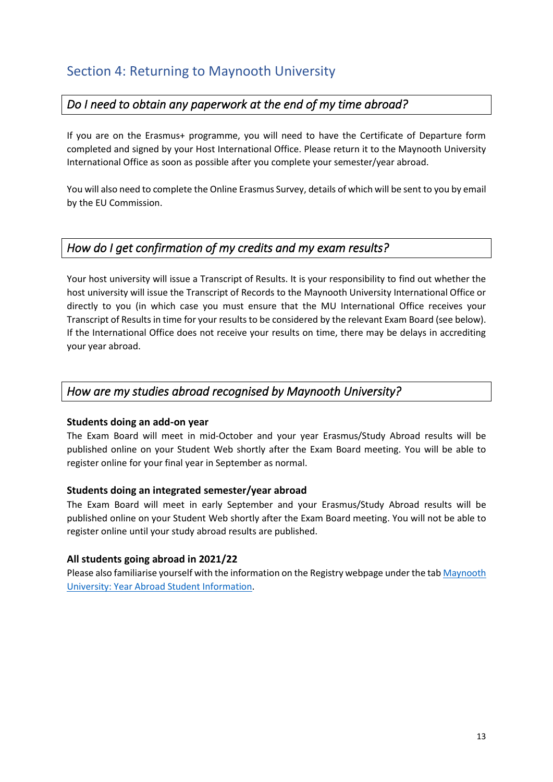## <span id="page-13-0"></span>Section 4: Returning to Maynooth University

## *Do I need to obtain any paperwork at the end of my time abroad?*

If you are on the Erasmus+ programme, you will need to have the Certificate of Departure form completed and signed by your Host International Office. Please return it to the Maynooth University International Office as soon as possible after you complete your semester/year abroad.

You will also need to complete the Online Erasmus Survey, details of which will be sent to you by email by the EU Commission.

## *How do I get confirmation of my credits and my exam results?*

Your host university will issue a Transcript of Results. It is your responsibility to find out whether the host university will issue the Transcript of Records to the Maynooth University International Office or directly to you (in which case you must ensure that the MU International Office receives your Transcript of Results in time for your results to be considered by the relevant Exam Board (see below). If the International Office does not receive your results on time, there may be delays in accrediting your year abroad.

## *How are my studies abroad recognised by Maynooth University?*

#### **Students doing an add-on year**

The Exam Board will meet in mid-October and your year Erasmus/Study Abroad results will be published online on your Student Web shortly after the Exam Board meeting. You will be able to register online for your final year in September as normal.

#### **Students doing an integrated semester/year abroad**

The Exam Board will meet in early September and your Erasmus/Study Abroad results will be published online on your Student Web shortly after the Exam Board meeting. You will not be able to register online until your study abroad results are published.

#### **All students going abroad in 2021/22**

Please also familiarise yourself with the information on the Registry webpage under the tab Maynooth [University: Year Abroad Student Information.](https://www.maynoothuniversity.ie/registry/registry-policy-office/third-year-students-2020-2021)